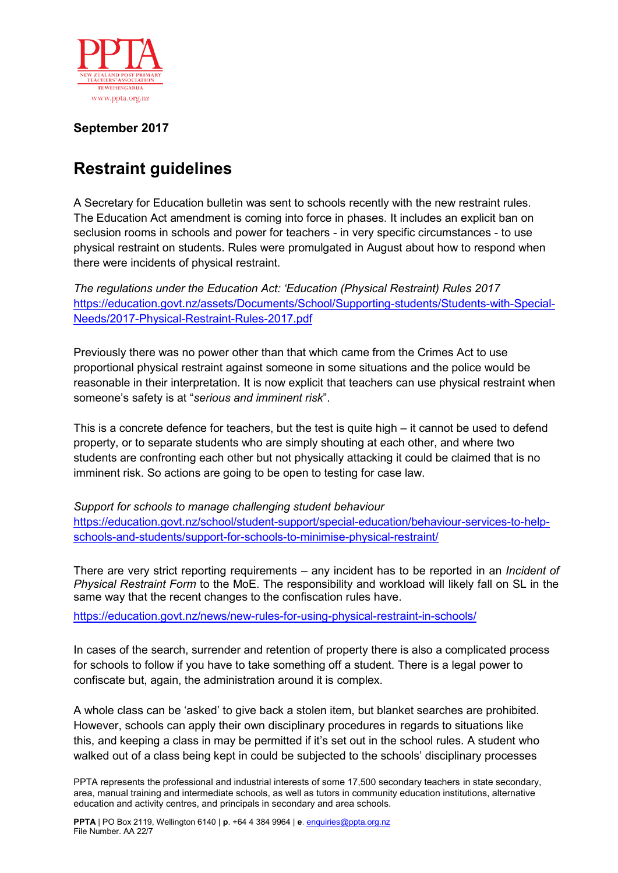

## **September 2017**

## **Restraint guidelines**

A Secretary for Education bulletin was sent to schools recently with the new restraint rules. The Education Act amendment is coming into force in phases. It includes an explicit ban on seclusion rooms in schools and power for teachers - in very specific circumstances - to use physical restraint on students. Rules were promulgated in August about how to respond when there were incidents of physical restraint.

*The regulations under the Education Act: 'Education (Physical Restraint) Rules 2017* [https://education.govt.nz/assets/Documents/School/Supporting-students/Students-with-Special-](https://education.govt.nz/assets/Documents/School/Supporting-students/Students-with-Special-Needs/2017-Physical-Restraint-Rules-2017.pdf)[Needs/2017-Physical-Restraint-Rules-2017.pdf](https://education.govt.nz/assets/Documents/School/Supporting-students/Students-with-Special-Needs/2017-Physical-Restraint-Rules-2017.pdf)

Previously there was no power other than that which came from the Crimes Act to use proportional physical restraint against someone in some situations and the police would be reasonable in their interpretation. It is now explicit that teachers can use physical restraint when someone's safety is at "*serious and imminent risk*".

This is a concrete defence for teachers, but the test is quite high – it cannot be used to defend property, or to separate students who are simply shouting at each other, and where two students are confronting each other but not physically attacking it could be claimed that is no imminent risk. So actions are going to be open to testing for case law.

*Support for schools to manage challenging student behaviour*  [https://education.govt.nz/school/student-support/special-education/behaviour-services-to-help](https://education.govt.nz/school/student-support/special-education/behaviour-services-to-help-schools-and-students/support-for-schools-to-minimise-physical-restraint/)[schools-and-students/support-for-schools-to-minimise-physical-restraint/](https://education.govt.nz/school/student-support/special-education/behaviour-services-to-help-schools-and-students/support-for-schools-to-minimise-physical-restraint/)

There are very strict reporting requirements – any incident has to be reported in an *Incident of Physical Restraint Form* to the MoE. The responsibility and workload will likely fall on SL in the same way that the recent changes to the confiscation rules have.

<https://education.govt.nz/news/new-rules-for-using-physical-restraint-in-schools/>

In cases of the search, surrender and retention of property there is also a complicated process for schools to follow if you have to take something off a student. There is a legal power to confiscate but, again, the administration around it is complex.

A whole class can be 'asked' to give back a stolen item, but blanket searches are prohibited. However, schools can apply their own disciplinary procedures in regards to situations like this, and keeping a class in may be permitted if it's set out in the school rules. A student who walked out of a class being kept in could be subjected to the schools' disciplinary processes

PPTA represents the professional and industrial interests of some 17,500 secondary teachers in state secondary, area, manual training and intermediate schools, as well as tutors in community education institutions, alternative education and activity centres, and principals in secondary and area schools.